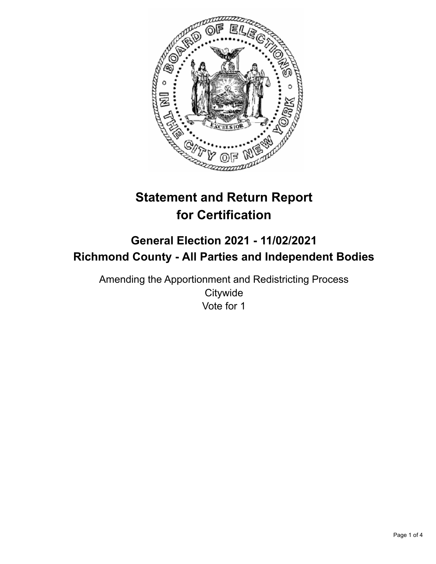

# **Statement and Return Report for Certification**

## **General Election 2021 - 11/02/2021 Richmond County - All Parties and Independent Bodies**

Amending the Apportionment and Redistricting Process **Citywide** Vote for 1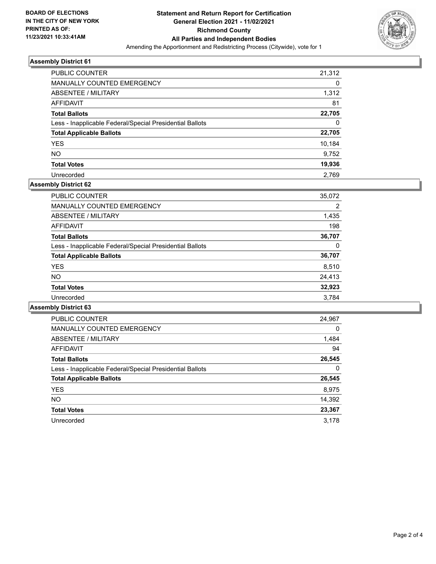

#### **Assembly District 61**

| <b>PUBLIC COUNTER</b>                                    | 21,312 |
|----------------------------------------------------------|--------|
| MANUALLY COUNTED EMERGENCY                               | 0      |
| ABSENTEE / MILITARY                                      | 1,312  |
| <b>AFFIDAVIT</b>                                         | 81     |
| <b>Total Ballots</b>                                     | 22,705 |
| Less - Inapplicable Federal/Special Presidential Ballots | 0      |
| <b>Total Applicable Ballots</b>                          | 22,705 |
| <b>YES</b>                                               | 10,184 |
| <b>NO</b>                                                | 9,752  |
| <b>Total Votes</b>                                       | 19,936 |
| Unrecorded                                               | 2.769  |

#### **Assembly District 62**

| PUBLIC COUNTER                                           | 35,072 |
|----------------------------------------------------------|--------|
| <b>MANUALLY COUNTED EMERGENCY</b>                        | 2      |
| ABSENTEE / MILITARY                                      | 1,435  |
| AFFIDAVIT                                                | 198    |
| <b>Total Ballots</b>                                     | 36,707 |
| Less - Inapplicable Federal/Special Presidential Ballots | 0      |
| <b>Total Applicable Ballots</b>                          | 36,707 |
| <b>YES</b>                                               | 8,510  |
| NO.                                                      | 24,413 |
| <b>Total Votes</b>                                       | 32,923 |
| Unrecorded                                               | 3.784  |

#### **Assembly District 63**

| <b>PUBLIC COUNTER</b>                                    | 24,967   |
|----------------------------------------------------------|----------|
| <b>MANUALLY COUNTED EMERGENCY</b>                        | $\Omega$ |
| ABSENTEE / MILITARY                                      | 1,484    |
| <b>AFFIDAVIT</b>                                         | 94       |
| <b>Total Ballots</b>                                     | 26,545   |
| Less - Inapplicable Federal/Special Presidential Ballots | 0        |
| <b>Total Applicable Ballots</b>                          | 26,545   |
| <b>YES</b>                                               | 8,975    |
| NO.                                                      | 14,392   |
| <b>Total Votes</b>                                       | 23,367   |
| Unrecorded                                               | 3.178    |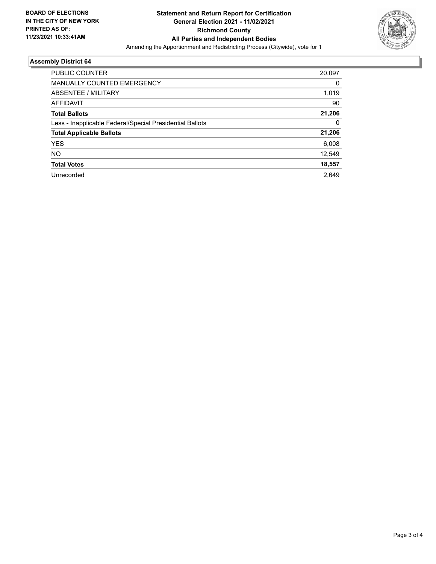

### **Assembly District 64**

| <b>PUBLIC COUNTER</b>                                    | 20,097 |
|----------------------------------------------------------|--------|
| <b>MANUALLY COUNTED EMERGENCY</b>                        | 0      |
| ABSENTEE / MILITARY                                      | 1,019  |
| <b>AFFIDAVIT</b>                                         | 90     |
| <b>Total Ballots</b>                                     | 21,206 |
| Less - Inapplicable Federal/Special Presidential Ballots | 0      |
| <b>Total Applicable Ballots</b>                          | 21,206 |
| <b>YES</b>                                               | 6,008  |
| NO.                                                      | 12,549 |
| <b>Total Votes</b>                                       | 18,557 |
| Unrecorded                                               | 2.649  |
|                                                          |        |